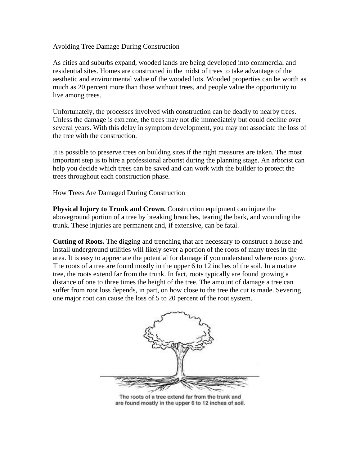Avoiding Tree Damage During Construction

As cities and suburbs expand, wooded lands are being developed into commercial and residential sites. Homes are constructed in the midst of trees to take advantage of the aesthetic and environmental value of the wooded lots. Wooded properties can be worth as much as 20 percent more than those without trees, and people value the opportunity to live among trees.

Unfortunately, the processes involved with construction can be deadly to nearby trees. Unless the damage is extreme, the trees may not die immediately but could decline over several years. With this delay in symptom development, you may not associate the loss of the tree with the construction.

It is possible to preserve trees on building sites if the right measures are taken. The most important step is to hire a professional arborist during the planning stage. An arborist can help you decide which trees can be saved and can work with the builder to protect the trees throughout each construction phase.

How Trees Are Damaged During Construction

**Physical Injury to Trunk and Crown.** Construction equipment can injure the aboveground portion of a tree by breaking branches, tearing the bark, and wounding the trunk. These injuries are permanent and, if extensive, can be fatal.

**Cutting of Roots.** The digging and trenching that are necessary to construct a house and install underground utilities will likely sever a portion of the roots of many trees in the area. It is easy to appreciate the potential for damage if you understand where roots grow. The roots of a tree are found mostly in the upper 6 to 12 inches of the soil. In a mature tree, the roots extend far from the trunk. In fact, roots typically are found growing a distance of one to three times the height of the tree. The amount of damage a tree can suffer from root loss depends, in part, on how close to the tree the cut is made. Severing one major root can cause the loss of 5 to 20 percent of the root system.



The roots of a tree extend far from the trunk and are found mostly in the upper 6 to 12 inches of soil.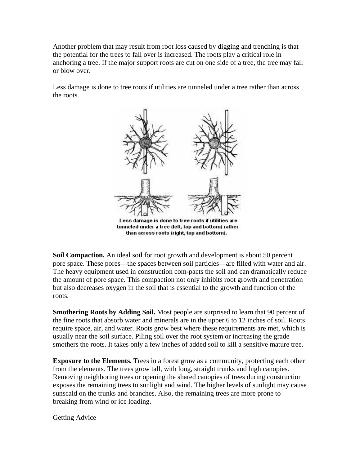Another problem that may result from root loss caused by digging and trenching is that the potential for the trees to fall over is increased. The roots play a critical role in anchoring a tree. If the major support roots are cut on one side of a tree, the tree may fall or blow over.

Less damage is done to tree roots if utilities are tunneled under a tree rather than across the roots.



Less damage is done to tree roots if utilities are tunneled under a tree (left, top and bottom) rather than across roots (right, top and bottom).

**Soil Compaction.** An ideal soil for root growth and development is about 50 percent pore space. These pores—the spaces between soil particles—are filled with water and air. The heavy equipment used in construction com-pacts the soil and can dramatically reduce the amount of pore space. This compaction not only inhibits root growth and penetration but also decreases oxygen in the soil that is essential to the growth and function of the roots.

**Smothering Roots by Adding Soil.** Most people are surprised to learn that 90 percent of the fine roots that absorb water and minerals are in the upper 6 to 12 inches of soil. Roots require space, air, and water. Roots grow best where these requirements are met, which is usually near the soil surface. Piling soil over the root system or increasing the grade smothers the roots. It takes only a few inches of added soil to kill a sensitive mature tree.

**Exposure to the Elements.** Trees in a forest grow as a community, protecting each other from the elements. The trees grow tall, with long, straight trunks and high canopies. Removing neighboring trees or opening the shared canopies of trees during construction exposes the remaining trees to sunlight and wind. The higher levels of sunlight may cause sunscald on the trunks and branches. Also, the remaining trees are more prone to breaking from wind or ice loading.

Getting Advice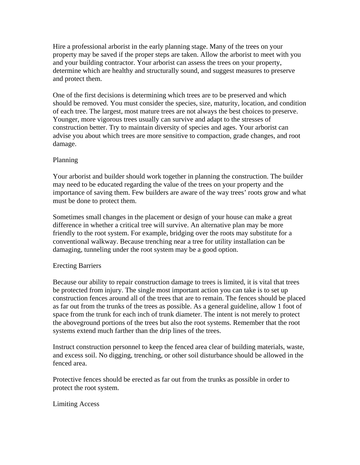Hire a professional arborist in the early planning stage. Many of the trees on your property may be saved if the proper steps are taken. Allow the arborist to meet with you and your building contractor. Your arborist can assess the trees on your property, determine which are healthy and structurally sound, and suggest measures to preserve and protect them.

One of the first decisions is determining which trees are to be preserved and which should be removed. You must consider the species, size, maturity, location, and condition of each tree. The largest, most mature trees are not always the best choices to preserve. Younger, more vigorous trees usually can survive and adapt to the stresses of construction better. Try to maintain diversity of species and ages. Your arborist can advise you about which trees are more sensitive to compaction, grade changes, and root damage.

## Planning

Your arborist and builder should work together in planning the construction. The builder may need to be educated regarding the value of the trees on your property and the importance of saving them. Few builders are aware of the way trees' roots grow and what must be done to protect them.

Sometimes small changes in the placement or design of your house can make a great difference in whether a critical tree will survive. An alternative plan may be more friendly to the root system. For example, bridging over the roots may substitute for a conventional walkway. Because trenching near a tree for utility installation can be damaging, tunneling under the root system may be a good option.

#### Erecting Barriers

Because our ability to repair construction damage to trees is limited, it is vital that trees be protected from injury. The single most important action you can take is to set up construction fences around all of the trees that are to remain. The fences should be placed as far out from the trunks of the trees as possible. As a general guideline, allow 1 foot of space from the trunk for each inch of trunk diameter. The intent is not merely to protect the aboveground portions of the trees but also the root systems. Remember that the root systems extend much farther than the drip lines of the trees.

Instruct construction personnel to keep the fenced area clear of building materials, waste, and excess soil. No digging, trenching, or other soil disturbance should be allowed in the fenced area.

Protective fences should be erected as far out from the trunks as possible in order to protect the root system.

Limiting Access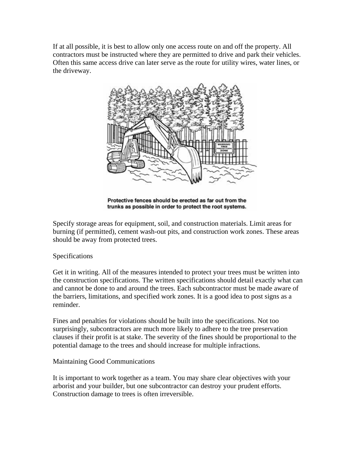If at all possible, it is best to allow only one access route on and off the property. All contractors must be instructed where they are permitted to drive and park their vehicles. Often this same access drive can later serve as the route for utility wires, water lines, or the driveway.



Protective fences should be erected as far out from the trunks as possible in order to protect the root systems.

Specify storage areas for equipment, soil, and construction materials. Limit areas for burning (if permitted), cement wash-out pits, and construction work zones. These areas should be away from protected trees.

# Specifications

Get it in writing. All of the measures intended to protect your trees must be written into the construction specifications. The written specifications should detail exactly what can and cannot be done to and around the trees. Each subcontractor must be made aware of the barriers, limitations, and specified work zones. It is a good idea to post signs as a reminder.

Fines and penalties for violations should be built into the specifications. Not too surprisingly, subcontractors are much more likely to adhere to the tree preservation clauses if their profit is at stake. The severity of the fines should be proportional to the potential damage to the trees and should increase for multiple infractions.

# Maintaining Good Communications

It is important to work together as a team. You may share clear objectives with your arborist and your builder, but one subcontractor can destroy your prudent efforts. Construction damage to trees is often irreversible.